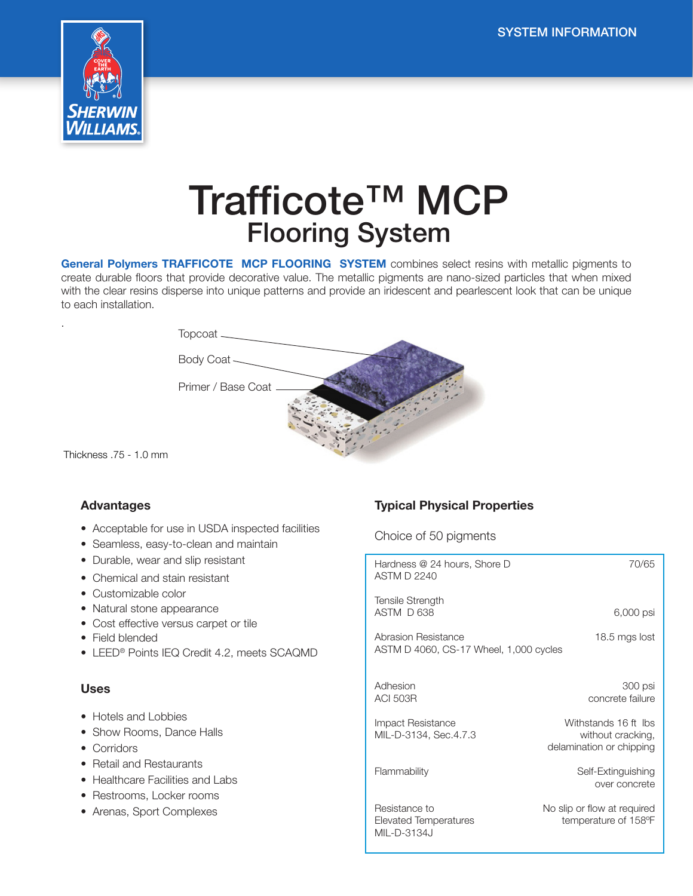

# Trafficote™ MCP Flooring System

General Polymers TRAFFICOTE MCP FLOORING SYSTEM combines select resins with metallic pigments to create durable floors that provide decorative value. The metallic pigments are nano-sized particles that when mixed with the clear resins disperse into unique patterns and provide an iridescent and pearlescent look that can be unique to each installation.



Thickness .75 - 1.0 mm

.

## Advantages

- Acceptable for use in USDA inspected facilities
- Seamless, easy-to-clean and maintain
- Durable, wear and slip resistant
- Chemical and stain resistant
- Customizable color
- Natural stone appearance
- Cost effective versus carpet or tile
- Field blended
- LEED® Points IEQ Credit 4.2, meets SCAQMD

#### Uses

- Hotels and Lobbies
- Show Rooms, Dance Halls
- Corridors
- Retail and Restaurants
- Healthcare Facilities and Labs
- Restrooms, Locker rooms
- Arenas, Sport Complexes

# Typical Physical Properties

#### Choice of 50 pigments

| Hardness @ 24 hours, Shore D<br><b>ASTM D 2240</b>                             | 70/65                                                                 |  |  |  |
|--------------------------------------------------------------------------------|-----------------------------------------------------------------------|--|--|--|
| Tensile Strength<br>ASTM D 638                                                 | 6,000 psi                                                             |  |  |  |
| Abrasion Resistance<br>18.5 mgs lost<br>ASTM D 4060, CS-17 Wheel, 1,000 cycles |                                                                       |  |  |  |
|                                                                                |                                                                       |  |  |  |
| Adhesion<br><b>ACI 503R</b>                                                    | 300 psi<br>concrete failure                                           |  |  |  |
| Impact Resistance<br>MIL-D-3134, Sec.4.7.3                                     | Withstands 16 ft lbs<br>without cracking,<br>delamination or chipping |  |  |  |
| Flammability                                                                   | Self-Extinguishing<br>over concrete                                   |  |  |  |
| Resistance to<br>Elevated Temperatures<br>MIL-D-3134J                          | No slip or flow at required<br>temperature of 158°F                   |  |  |  |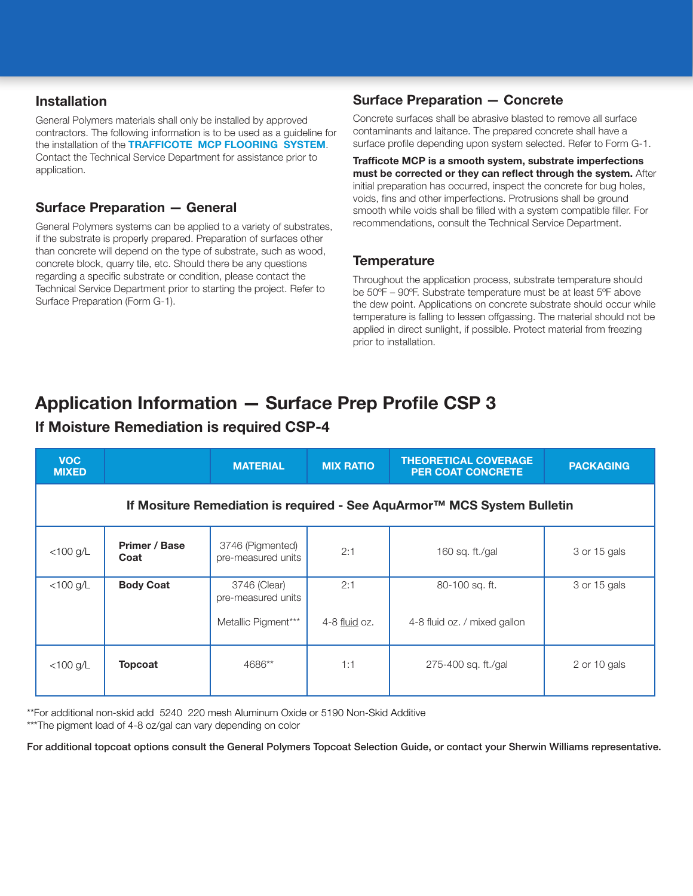# Installation

General Polymers materials shall only be installed by approved contractors. The following information is to be used as a guideline for the installation of the TRAFFICOTE MCP FLOORING SYSTEM. Contact the Technical Service Department for assistance prior to application.

# Surface Preparation — General

General Polymers systems can be applied to a variety of substrates, if the substrate is properly prepared. Preparation of surfaces other than concrete will depend on the type of substrate, such as wood, concrete block, quarry tile, etc. Should there be any questions regarding a specific substrate or condition, please contact the Technical Service Department prior to starting the project. Refer to Surface Preparation (Form G-1).

# Surface Preparation — Concrete

Concrete surfaces shall be abrasive blasted to remove all surface contaminants and laitance. The prepared concrete shall have a surface profile depending upon system selected. Refer to Form G-1.

Trafficote MCP is a smooth system, substrate imperfections must be corrected or they can reflect through the system. After initial preparation has occurred, inspect the concrete for bug holes, voids, fins and other imperfections. Protrusions shall be ground smooth while voids shall be filled with a system compatible filler. For recommendations, consult the Technical Service Department.

# **Temperature**

Throughout the application process, substrate temperature should be 50ºF – 90ºF. Substrate temperature must be at least 5ºF above the dew point. Applications on concrete substrate should occur while temperature is falling to lessen offgassing. The material should not be applied in direct sunlight, if possible. Protect material from freezing prior to installation.

# Application Information — Surface Prep Profile CSP 3

# If Moisture Remediation is required CSP-4

| <b>VOC</b><br><b>MIXED</b>                                              |                       | <b>MATERIAL</b>                        | <b>MIX RATIO</b> | <b>THEORETICAL COVERAGE</b><br><b>PER COAT CONCRETE</b> | <b>PACKAGING</b> |  |
|-------------------------------------------------------------------------|-----------------------|----------------------------------------|------------------|---------------------------------------------------------|------------------|--|
| If Mositure Remediation is required - See AquArmor™ MCS System Bulletin |                       |                                        |                  |                                                         |                  |  |
| $<$ 100 g/L                                                             | Primer / Base<br>Coat | 3746 (Pigmented)<br>pre-measured units | 2:1              | 160 sq. ft./gal                                         | 3 or 15 gals     |  |
| $<$ 100 g/L                                                             | <b>Body Coat</b>      | 3746 (Clear)<br>pre-measured units     | 2:1              | 80-100 sq. ft.                                          | 3 or 15 gals     |  |
|                                                                         |                       | Metallic Pigment***                    | 4-8 fluid oz.    | 4-8 fluid oz. / mixed gallon                            |                  |  |
| $<$ 100 g/L                                                             | <b>Topcoat</b>        | 4686**                                 | 1:1              | 275-400 sq. ft./gal                                     | 2 or 10 gals     |  |

\*\*For additional non-skid add 5240 220 mesh Aluminum Oxide or 5190 Non-Skid Additive \*\*\*The pigment load of 4-8 oz/gal can vary depending on color

For additional topcoat options consult the General Polymers Topcoat Selection Guide, or contact your Sherwin Williams representative.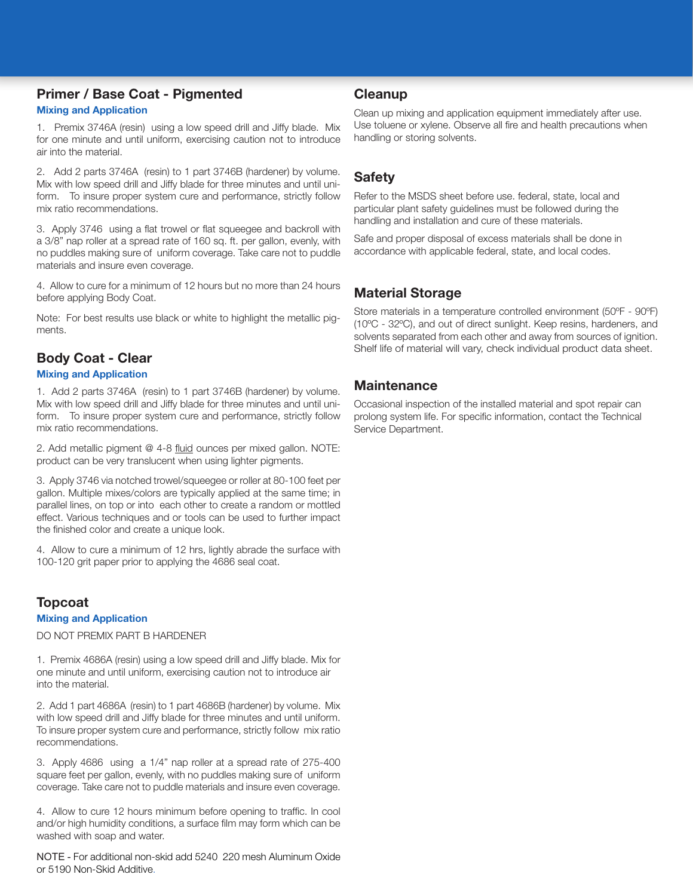# Primer / Base Coat - Pigmented

#### Mixing and Application

1. Premix 3746A (resin) using a low speed drill and Jiffy blade. Mix for one minute and until uniform, exercising caution not to introduce air into the material.

2. Add 2 parts 3746A (resin) to 1 part 3746B (hardener) by volume. Mix with low speed drill and Jiffy blade for three minutes and until uniform. To insure proper system cure and performance, strictly follow mix ratio recommendations.

3. Apply 3746 using a flat trowel or flat squeegee and backroll with a 3/8" nap roller at a spread rate of 160 sq. ft. per gallon, evenly, with no puddles making sure of uniform coverage. Take care not to puddle materials and insure even coverage.

4. Allow to cure for a minimum of 12 hours but no more than 24 hours before applying Body Coat.

Note: For best results use black or white to highlight the metallic pigments.

# Body Coat - Clear

#### Mixing and Application

1. Add 2 parts 3746A (resin) to 1 part 3746B (hardener) by volume. Mix with low speed drill and Jiffy blade for three minutes and until uniform. To insure proper system cure and performance, strictly follow mix ratio recommendations.

2. Add metallic pigment @ 4-8 fluid ounces per mixed gallon. NOTE: product can be very translucent when using lighter pigments.

3. Apply 3746 via notched trowel/squeegee or roller at 80-100 feet per gallon. Multiple mixes/colors are typically applied at the same time; in parallel lines, on top or into each other to create a random or mottled effect. Various techniques and or tools can be used to further impact the finished color and create a unique look.

4. Allow to cure a minimum of 12 hrs, lightly abrade the surface with 100-120 grit paper prior to applying the 4686 seal coat.

# Topcoat

#### Mixing and Application

DO NOT PREMIX PART B HARDENER

1. Premix 4686A (resin) using a low speed drill and Jiffy blade. Mix for one minute and until uniform, exercising caution not to introduce air into the material.

2. Add 1 part 4686A (resin) to 1 part 4686B (hardener) by volume. Mix with low speed drill and Jiffy blade for three minutes and until uniform. To insure proper system cure and performance, strictly follow mix ratio recommendations.

3. Apply 4686 using a 1/4" nap roller at a spread rate of 275-400 square feet per gallon, evenly, with no puddles making sure of uniform coverage. Take care not to puddle materials and insure even coverage.

4. Allow to cure 12 hours minimum before opening to traffic. In cool and/or high humidity conditions, a surface film may form which can be washed with soap and water.

NOTE - For additional non-skid add 5240 220 mesh Aluminum Oxide or 5190 Non-Skid Additive.

### Cleanup

Clean up mixing and application equipment immediately after use. Use toluene or xylene. Observe all fire and health precautions when handling or storing solvents.

# Safety

Refer to the MSDS sheet before use. federal, state, local and particular plant safety guidelines must be followed during the handling and installation and cure of these materials.

Safe and proper disposal of excess materials shall be done in accordance with applicable federal, state, and local codes.

# Material Storage

Store materials in a temperature controlled environment (50ºF - 90ºF) (10ºC - 32ºC), and out of direct sunlight. Keep resins, hardeners, and solvents separated from each other and away from sources of ignition. Shelf life of material will vary, check individual product data sheet.

# **Maintenance**

Occasional inspection of the installed material and spot repair can prolong system life. For specific information, contact the Technical Service Department.